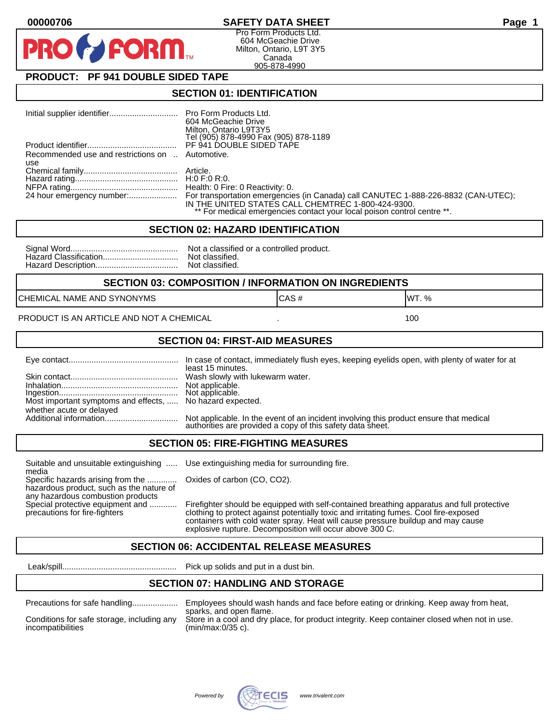## **00000706 SAFETY DATA SHEET Page 1**

Pro Form Products Ltd. 604 McGeachie Drive Milton, Ontario, L9T 3Y5 Canada 905-878-4990

# **PRODUCT: PF 941 DOUBLE SIDED TAPE**

**FORM** 

### **SECTION 01: IDENTIFICATION**

|                                                         | <b>Pro Form Products Ltd.</b><br>604 McGeachie Drive<br>Milton, Ontario L9T3Y5<br>Tel (905) 878-4990 Fax (905) 878-1189                                                                                             |
|---------------------------------------------------------|---------------------------------------------------------------------------------------------------------------------------------------------------------------------------------------------------------------------|
|                                                         | PF 941 DOUBLE SIDED TAPE                                                                                                                                                                                            |
| Recommended use and restrictions on  Automotive.<br>use |                                                                                                                                                                                                                     |
|                                                         |                                                                                                                                                                                                                     |
|                                                         | Health: 0 Fire: 0 Reactivity: 0.                                                                                                                                                                                    |
|                                                         | For transportation emergencies (in Canada) call CANUTEC 1-888-226-8832 (CAN-UTEC);<br>IN THE UNITED STATES CALL CHEMTREC 1-800-424-9300.<br>** For medical emergencies contact your local poison control centre **. |

### **SECTION 02: HAZARD IDENTIFICATION**

| Nc |
|----|
| No |
| Nc |

It a classified or a controlled product. t classified. t classified.

#### **SECTION 03: COMPOSITION / INFORMATION ON INGREDIENTS**

CHEMICAL NAME AND SYNONYMS GAS AND CAS # CAS # WT. %

PRODUCT IS AN ARTICLE AND NOT A CHEMICAL **AND THE SET AND A SET ALL ASSAULT** 100

### **SECTION 04: FIRST-AID MEASURES**

|                                                                                       | In case of contact, immediately flush eyes, keeping eyelids open, with plenty of water for at<br>least 15 minutes.                                   |
|---------------------------------------------------------------------------------------|------------------------------------------------------------------------------------------------------------------------------------------------------|
|                                                                                       |                                                                                                                                                      |
| Most important symptoms and effects,  No hazard expected.<br>whether acute or delayed |                                                                                                                                                      |
|                                                                                       | Not applicable. In the event of an incident involving this product ensure that medical<br>authorities are provided a copy of this safety data sheet. |

### **SECTION 05: FIRE-FIGHTING MEASURES**

Suitable and unsuitable extinguishing ..... Use extinguishing media for surrounding fire. media

Specific hazards arising from the ............. Oxides of carbon (CO, CO2). hazardous product, such as the nature of any hazardous combustion products

Special protective equipment and ............ Firefighter should be equipped with self-contained breathing apparatus and full protective<br>precautions for fire-fighters continent clothing to protect against potentially toxic clothing to protect against potentially toxic and irritating fumes. Cool fire-exposed containers with cold water spray. Heat will cause pressure buildup and may cause explosive rupture. Decomposition will occur above 300 C.

# **SECTION 06: ACCIDENTAL RELEASE MEASURES**

Leak/spill.................................................. Pick up solids and put in a dust bin.

### **SECTION 07: HANDLING AND STORAGE**

| Precautions for safe handling |  |  |
|-------------------------------|--|--|
|                               |  |  |

incompatibilities (min/max:0/35 c).

Precautions for safe handling.................... Employees should wash hands and face before eating or drinking. Keep away from heat, sparks, and open flame. Conditions for safe storage, including any Store in a cool and dry place, for product integrity. Keep container closed when not in use.

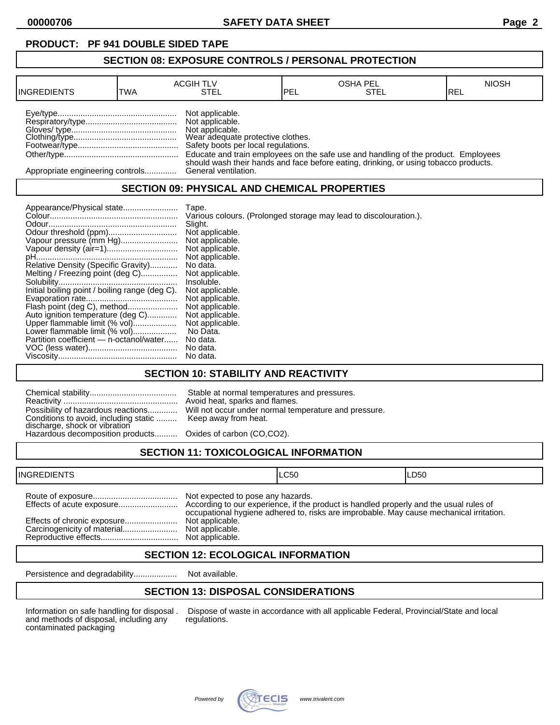# **SECTION 08: EXPOSURE CONTROLS / PERSONAL PROTECTION**

| <b>INGREDIENTS</b>               | TWA | <b>ACGIH TLV</b><br>STEL                                                                                                          | IPEL | <b>OSHA PEL</b><br>STEL                                                                                                                                                    | <b>NIOSH</b><br>IREL |
|----------------------------------|-----|-----------------------------------------------------------------------------------------------------------------------------------|------|----------------------------------------------------------------------------------------------------------------------------------------------------------------------------|----------------------|
|                                  |     | Not applicable.<br>Not applicable.<br>Not applicable.<br>Wear adequate protective clothes.<br>Safety boots per local regulations. |      | Educate and train employees on the safe use and handling of the product. Employees<br>should wash their hands and face before eating, drinking, or using tobacco products. |                      |
| Appropriate engineering controls |     | General ventilation.                                                                                                              |      |                                                                                                                                                                            |                      |

# **SECTION 09: PHYSICAL AND CHEMICAL PROPERTIES**

| Tape.<br>Slight.<br>Vapour pressure (mm Hg)<br>Relative Density (Specific Gravity)<br>No data.<br>Melting / Freezing point (deg C)<br>Insoluble.<br>Initial boiling point / boiling range (deg C).<br>Flash point (deg C), method<br>Auto ignition temperature (deg C)<br>Upper flammable limit (% vol)<br>Lower flammable limit (% vol)<br>No Data.<br>Partition coefficient - n-octanol/water<br>No data.<br>No data.<br>No data. | Various colours. (Prolonged storage may lead to discolouration.).<br>Not applicable.<br>Not applicable.<br>Not applicable.<br>Not applicable.<br>Not applicable.<br>Not applicable.<br>Not applicable.<br>Not applicable.<br>Not applicable.<br>Not applicable. |
|-------------------------------------------------------------------------------------------------------------------------------------------------------------------------------------------------------------------------------------------------------------------------------------------------------------------------------------------------------------------------------------------------------------------------------------|-----------------------------------------------------------------------------------------------------------------------------------------------------------------------------------------------------------------------------------------------------------------|
|-------------------------------------------------------------------------------------------------------------------------------------------------------------------------------------------------------------------------------------------------------------------------------------------------------------------------------------------------------------------------------------------------------------------------------------|-----------------------------------------------------------------------------------------------------------------------------------------------------------------------------------------------------------------------------------------------------------------|

## **SECTION 10: STABILITY AND REACTIVITY**

| Conditions to avoid, including static  Keep away from heat.<br>discharge, shock or vibration<br>Hazardous decomposition products Oxides of carbon (CO,CO2). | Stable at normal temperatures and pressures.<br>Avoid heat, sparks and flames.<br>Possibility of hazardous reactions Will not occur under normal temperature and pressure. |
|-------------------------------------------------------------------------------------------------------------------------------------------------------------|----------------------------------------------------------------------------------------------------------------------------------------------------------------------------|
|                                                                                                                                                             |                                                                                                                                                                            |

# **SECTION 11: TOXICOLOGICAL INFORMATION**

| <b>INGREDIENTS</b> |                                                                                            | ILC50                                                                                   | ILD50 |
|--------------------|--------------------------------------------------------------------------------------------|-----------------------------------------------------------------------------------------|-------|
|                    | Not expected to pose any hazards.<br>Not applicable.<br>Not applicable.<br>Not applicable. | occupational hygiene adhered to, risks are improbable. May cause mechanical irritation. |       |

## **SECTION 12: ECOLOGICAL INFORMATION**

Persistence and degradability................... Not available.

# **SECTION 13: DISPOSAL CONSIDERATIONS**

and methods of disposal, including any contaminated packaging

Information on safe handling for disposal . Dispose of waste in accordance with all applicable Federal, Provincial/State and local and methods of disposal, including any regulations.